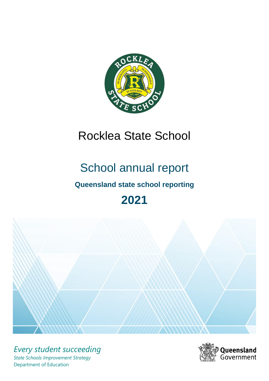

# Rocklea State School

# School annual report

# **Queensland state school reporting**

# **2021**



*Every student succeeding State Schools Improvement Strategy* Department of Education

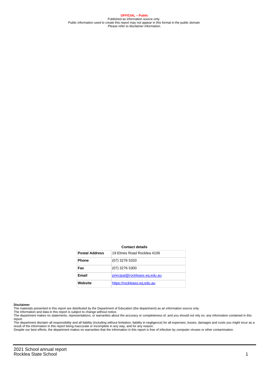**OFFICIAL – Public** Published as information source only. Public information used to create this report may not appear in this format in the public domain Please refer to disclaimer information.

#### **Contact details**

| <b>Postal Address</b> | 19 Flmes Road Rocklea 4106    |
|-----------------------|-------------------------------|
| <b>Phone</b>          | (07) 3276 5333                |
| Fax                   | (07) 3276 5300                |
| Email                 | principal@rockleass.eq.edu.au |
| Website               | https://rockleass.eq.edu.au   |

#### **Disclaimer**

The materials presented in this report are distributed by the Department of Education (the department) as an information source only.

The information and data in this report is subject to change without notice.<br>The department makes no statements, representations, or warranties about the accuracy or completeness of, and you should not rely on, any informa report.

The department disclaim all responsibility and all liability (including without limitation, liability in negligence) for all expenses, losses, damages and costs you might incur as a result of the information in this report being inaccurate or incomplete in any way, and for any reason. Despite our best efforts, the department makes no warranties that the information in this report is free of infection by computer viruses or other contamination.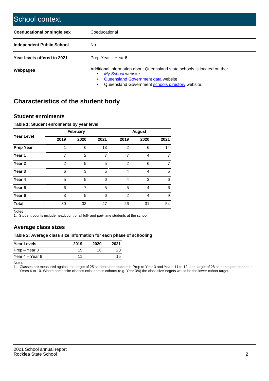| School context                   |                                                                                                                                                                                              |
|----------------------------------|----------------------------------------------------------------------------------------------------------------------------------------------------------------------------------------------|
| Coeducational or single sex      | Coeducational                                                                                                                                                                                |
| <b>Independent Public School</b> | No.                                                                                                                                                                                          |
| Year levels offered in 2021      | Prep Year - Year 6                                                                                                                                                                           |
| Webpages                         | Additional information about Queensland state schools is located on the:<br>My School website<br>Queensland Government data website<br>Queensland Government schools directory website.<br>٠ |

# **Characteristics of the student body**

### **Student enrolments**

#### **Table 1: Student enrolments by year level**

|                   |                | <b>February</b> |                |                | <b>August</b> |                |
|-------------------|----------------|-----------------|----------------|----------------|---------------|----------------|
| <b>Year Level</b> | 2019           | 2020            | 2021           | 2019           | 2020          | 2021           |
| <b>Prep Year</b>  | 1              | 6               | 13             | $\overline{2}$ | 6             | 14             |
| Year 1            | $\overline{7}$ | $\overline{2}$  | $\overline{7}$ | 7              | 4             | $\overline{7}$ |
| Year 2            | $\overline{2}$ | 5               | 5              | $\overline{2}$ | 6             | $\overline{7}$ |
| Year <sub>3</sub> | 6              | 3               | 5              | 4              | 4             | 5              |
| Year 4            | 5              | 5               | 6              | $\overline{4}$ | 3             | 6              |
| Year 5            | 6              | 7               | 5              | 5              | 4             | 6              |
| Year <sub>6</sub> | 3              | 5               | 6              | $\overline{2}$ | 4             | 9              |
| <b>Total</b>      | 30             | 33              | 47             | 26             | 31            | 54             |

Notes

1. Student counts include headcount of all full- and part-time students at the school.

## **Average class sizes**

#### **Table 2: Average class size information for each phase of schooling**

| <b>Year Levels</b> | 2019 | 2020 | 2021 |
|--------------------|------|------|------|
| Prep – Year 3      | 15   | 16.  | 20   |
| Year 4 – Year 6    |      |      | 15   |

Notes

1. Classes are measured against the target of 25 students per teacher in Prep to Year 3 and Years 11 to 12, and target of 28 students per teacher in Years 4 to 10. Where composite classes exist across cohorts (e.g. Year 3/4) the class size targets would be the lower cohort target.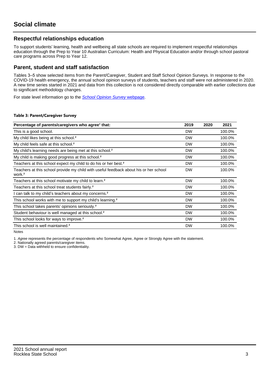## **Respectful relationships education**

To support students' learning, health and wellbeing all state schools are required to implement respectful relationships education through the Prep to Year 10 Australian Curriculum: Health and Physical Education and/or through school pastoral care programs across Prep to Year 12.

### **Parent, student and staff satisfaction**

Tables 3–5 show selected items from the Parent/Caregiver, Student and Staff School Opinion Surveys. In response to the COVID-19 health emergency, the annual school opinion surveys of students, teachers and staff were not administered in 2020. A new time series started in 2021 and data from this collection is not considered directly comparable with earlier collections due to significant methodology changes.

For state level information go to the **[School Opinion Survey](https://qed.qld.gov.au/publications/reports/statistics/schooling/schools/schoolopinionsurvey) webpage**.

#### **Table 3: Parent/Caregiver Survey**

| Percentage of parents/caregivers who agree <sup>1</sup> that:                                               | 2019      | 2020 | 2021   |
|-------------------------------------------------------------------------------------------------------------|-----------|------|--------|
| This is a good school.                                                                                      | <b>DW</b> |      | 100.0% |
| My child likes being at this school. <sup>2</sup>                                                           | <b>DW</b> |      | 100.0% |
| My child feels safe at this school. <sup>2</sup>                                                            | <b>DW</b> |      | 100.0% |
| My child's learning needs are being met at this school. <sup>2</sup>                                        | <b>DW</b> |      | 100.0% |
| My child is making good progress at this school. <sup>2</sup>                                               | <b>DW</b> |      | 100.0% |
| Teachers at this school expect my child to do his or her best. <sup>2</sup>                                 | <b>DW</b> |      | 100.0% |
| Teachers at this school provide my child with useful feedback about his or her school<br>work. <sup>2</sup> | <b>DW</b> |      | 100.0% |
| Teachers at this school motivate my child to learn. <sup>2</sup>                                            | <b>DW</b> |      | 100.0% |
| Teachers at this school treat students fairly. <sup>2</sup>                                                 | <b>DW</b> |      | 100.0% |
| I can talk to my child's teachers about my concerns. <sup>2</sup>                                           | <b>DW</b> |      | 100.0% |
| This school works with me to support my child's learning. <sup>2</sup>                                      | <b>DW</b> |      | 100.0% |
| This school takes parents' opinions seriously. <sup>2</sup>                                                 | <b>DW</b> |      | 100.0% |
| Student behaviour is well managed at this school. <sup>2</sup>                                              | <b>DW</b> |      | 100.0% |
| This school looks for ways to improve. <sup>2</sup>                                                         | <b>DW</b> |      | 100.0% |
| This school is well maintained. <sup>2</sup>                                                                | <b>DW</b> |      | 100.0% |

Notes

1. Agree represents the percentage of respondents who Somewhat Agree, Agree or Strongly Agree with the statement.

2. Nationally agreed parents/caregiver items.

3. DW = Data withheld to ensure confidentiality.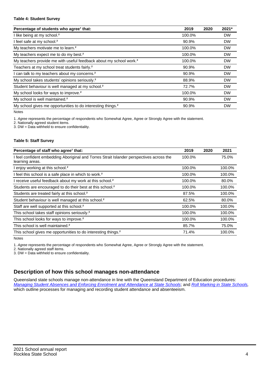#### **Table 4: Student Survey**

| Percentage of students who agree <sup>1</sup> that:                            | 2019   | 2020 | 2021*     |
|--------------------------------------------------------------------------------|--------|------|-----------|
| I like being at my school. <sup>2</sup>                                        | 100.0% |      | <b>DW</b> |
| I feel safe at my school. <sup>2</sup>                                         | 90.9%  |      | <b>DW</b> |
| My teachers motivate me to learn. <sup>2</sup>                                 | 100.0% |      | <b>DW</b> |
| My teachers expect me to do my best. <sup>2</sup>                              | 100.0% |      | <b>DW</b> |
| My teachers provide me with useful feedback about my school work. <sup>2</sup> | 100.0% |      | <b>DW</b> |
| Teachers at my school treat students fairly. <sup>2</sup>                      | 90.9%  |      | <b>DW</b> |
| I can talk to my teachers about my concerns. <sup>2</sup>                      | 90.9%  |      | <b>DW</b> |
| My school takes students' opinions seriously. <sup>2</sup>                     | 88.9%  |      | <b>DW</b> |
| Student behaviour is well managed at my school. <sup>2</sup>                   | 72.7%  |      | <b>DW</b> |
| My school looks for ways to improve. <sup>2</sup>                              | 100.0% |      | <b>DW</b> |
| My school is well maintained. <sup>2</sup>                                     | 90.9%  |      | <b>DW</b> |
| My school gives me opportunities to do interesting things. <sup>2</sup>        | 90.9%  |      | <b>DW</b> |

Notes

1. Agree represents the percentage of respondents who Somewhat Agree, Agree or Strongly Agree with the statement.

2. Nationally agreed student items.

3. DW = Data withheld to ensure confidentiality.

#### **Table 5: Staff Survey**

| Percentage of staff who agree <sup>1</sup> that:                                                            | 2019   | 2020 | 2021   |
|-------------------------------------------------------------------------------------------------------------|--------|------|--------|
| I feel confident embedding Aboriginal and Torres Strait Islander perspectives across the<br>learning areas. | 100.0% |      | 75.0%  |
| I enjoy working at this school. <sup>2</sup>                                                                | 100.0% |      | 100.0% |
| I feel this school is a safe place in which to work. <sup>2</sup>                                           | 100.0% |      | 100.0% |
| I receive useful feedback about my work at this school. <sup>2</sup>                                        | 100.0% |      | 80.0%  |
| Students are encouraged to do their best at this school. <sup>2</sup>                                       | 100.0% |      | 100.0% |
| Students are treated fairly at this school. <sup>2</sup>                                                    | 87.5%  |      | 100.0% |
| Student behaviour is well managed at this school. <sup>2</sup>                                              | 62.5%  |      | 80.0%  |
| Staff are well supported at this school. <sup>2</sup>                                                       | 100.0% |      | 100.0% |
| This school takes staff opinions seriously. <sup>2</sup>                                                    | 100.0% |      | 100.0% |
| This school looks for ways to improve. <sup>2</sup>                                                         | 100.0% |      | 100.0% |
| This school is well maintained. <sup>2</sup>                                                                | 85.7%  |      | 75.0%  |
| This school gives me opportunities to do interesting things. <sup>2</sup>                                   | 71.4%  |      | 100.0% |

Notes

1. Agree represents the percentage of respondents who Somewhat Agree, Agree or Strongly Agree with the statement.

2. Nationally agreed staff items.

3. DW = Data withheld to ensure confidentiality.

## **Description of how this school manages non-attendance**

Queensland state schools manage non-attendance in line with the Queensland Department of Education procedures: [Managing Student Absences and Enforcing Enrolment and Attendance at State Schools](https://ppr.qed.qld.gov.au/pp/managing-student-absences-and-enforcing-enrolment-and-attendance-at-state-schools-procedure); and [Roll Marking in State Schools,](https://ppr.qed.qld.gov.au/pp/roll-marking-in-state-schools-procedure) which outline processes for managing and recording student attendance and absenteeism.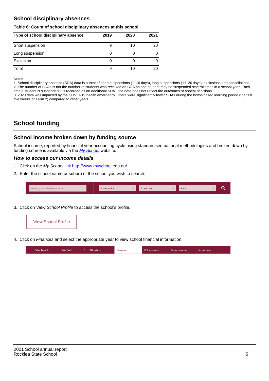## **School disciplinary absences**

#### **Table 6: Count of school disciplinary absences at this school**

| Type of school disciplinary absence | 2019 | 2020 | 2021 |
|-------------------------------------|------|------|------|
| Short suspension                    |      | 10   | 20   |
| Long suspension                     | U    |      |      |
| Exclusion                           | 0    |      |      |
| Total                               | 9    | 10   | 20   |

Notes

1. School disciplinary absence (SDA) data is a total of short suspensions (1–10 days), long suspensions (11–20 days), exclusions and cancellations. 2. The number of SDAs is not the number of students who received an SDA as one student may be suspended several times in a school year. Each time a student is suspended it is recorded as an additional SDA. The data does not reflect the outcomes of appeal decisions.

3. 2020 data was impacted by the COVID-19 health emergency. There were significantly fewer SDAs during the home-based learning period (the first five weeks of Term 2) compared to other years.

# **School funding**

## **School income broken down by funding source**

School income, reported by financial year accounting cycle using standardised national methodologies and broken down by funding source is available via the  $My$  School website.

#### **How to access our income details**

- 1. Click on the My School link <http://www.myschool.edu.au/>.
- 2. Enter the school name or suburb of the school you wish to search.

| Search by school name or suburb | <b>School sector</b> | <b>Concool type</b> | <b>State</b> |  |
|---------------------------------|----------------------|---------------------|--------------|--|
|                                 |                      |                     |              |  |

3. Click on View School Profile to access the school's profile.



4. Click on Finances and select the appropriate year to view school financial information.

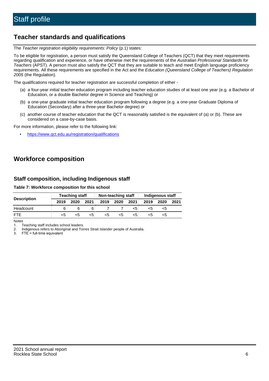# **Teacher standards and qualifications**

The Teacher registration eligibility requirements: Policy (p.1) states:

To be eligible for registration, a person must satisfy the Queensland College of Teachers (QCT) that they meet requirements regarding qualification and experience, or have otherwise met the requirements of the Australian Professional Standards for Teachers (APST). A person must also satisfy the QCT that they are suitable to teach and meet English language proficiency requirements. All these requirements are specified in the Act and the Education (Queensland College of Teachers) Regulation 2005 (the Regulation).

The qualifications required for teacher registration are successful completion of either -

- (a) a four-year initial teacher education program including teacher education studies of at least one year (e.g. a Bachelor of Education, or a double Bachelor degree in Science and Teaching) or
- (b) a one-year graduate initial teacher education program following a degree (e.g. a one-year Graduate Diploma of Education (Secondary) after a three-year Bachelor degree) or
- (c) another course of teacher education that the QCT is reasonably satisfied is the equivalent of (a) or (b). These are considered on a case-by-case basis.

For more information, please refer to the following link:

• <https://www.qct.edu.au/registration/qualifications>

# **Workforce composition**

## **Staff composition, including Indigenous staff**

#### **Table 7: Workforce composition for this school**

|                    | <b>Teaching staff</b> |      |      | Non-teaching staff |      |      | <b>Indigenous staff</b> |      |      |
|--------------------|-----------------------|------|------|--------------------|------|------|-------------------------|------|------|
| <b>Description</b> | 2019                  | 2020 | 2021 | 2019               | 2020 | 2021 | 2019                    | 2020 | 2021 |
| Headcount          |                       |      |      |                    |      | <5   | <5                      | <5   |      |
| <b>FTF</b>         | <5                    | כ>   | <5   | <5                 | <5   | <5   | ה>                      | ה>   |      |

Notes

1. Teaching staff includes school leaders.

2. Indigenous refers to Aboriginal and Torres Strait Islander people of Australia.

3. FTE = full-time equivalent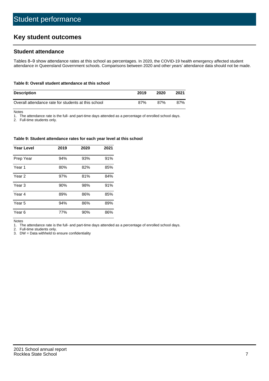# **Key student outcomes**

## **Student attendance**

Tables 8–9 show attendance rates at this school as percentages. In 2020, the COVID-19 health emergency affected student attendance in Queensland Government schools. Comparisons between 2020 and other years' attendance data should not be made.

#### **Table 8: Overall student attendance at this school**

| <b>Description</b>                                  | 2019 | 2020 | 2021 |
|-----------------------------------------------------|------|------|------|
| Overall attendance rate for students at this school | 87%  | 87%  | 87%  |

Notes

1. The attendance rate is the full- and part-time days attended as a percentage of enrolled school days.

2. Full-time students only.

#### **Table 9: Student attendance rates for each year level at this school**

| <b>Year Level</b> | 2019 | 2020 | 2021 |
|-------------------|------|------|------|
| Prep Year         | 94%  | 93%  | 91%  |
| Year <sub>1</sub> | 80%  | 82%  | 85%  |
| Year 2            | 97%  | 81%  | 84%  |
| Year 3            | 90%  | 98%  | 91%  |
| Year 4            | 89%  | 86%  | 85%  |
| Year 5            | 94%  | 86%  | 89%  |
| Year <sub>6</sub> | 77%  | 90%  | 86%  |

Notes

1. The attendance rate is the full- and part-time days attended as a percentage of enrolled school days.

2. Full-time students only.

3. DW = Data withheld to ensure confidentiality